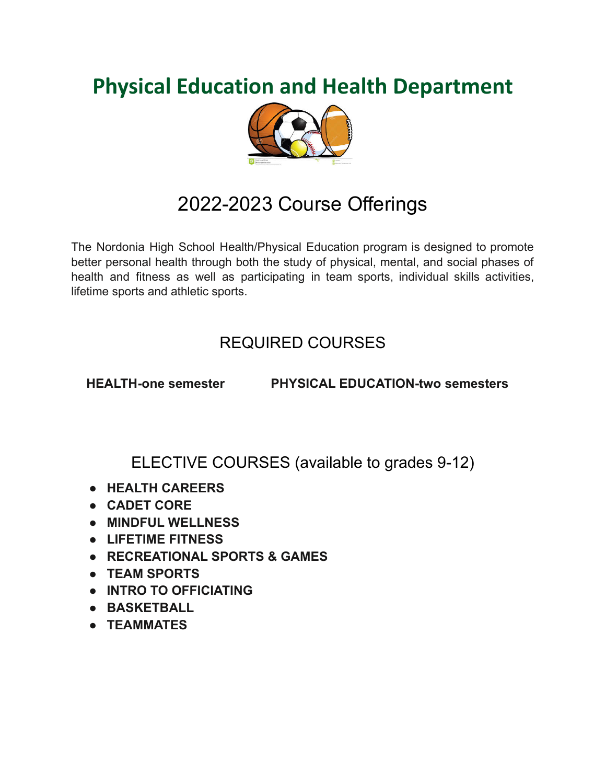# **Physical Education and Health Department**



# 2022-2023 Course Offerings

The Nordonia High School Health/Physical Education program is designed to promote better personal health through both the study of physical, mental, and social phases of health and fitness as well as participating in team sports, individual skills activities, lifetime sports and athletic sports.

### REQUIRED COURSES

**HEALTH-one semester PHYSICAL EDUCATION-two semesters**

ELECTIVE COURSES (available to grades 9-12)

- **● HEALTH CAREERS**
- **● CADET CORE**
- **● MINDFUL WELLNESS**
- **● LIFETIME FITNESS**
- **● RECREATIONAL SPORTS & GAMES**
- **● TEAM SPORTS**
- **● INTRO TO OFFICIATING**
- **● BASKETBALL**
- **● TEAMMATES**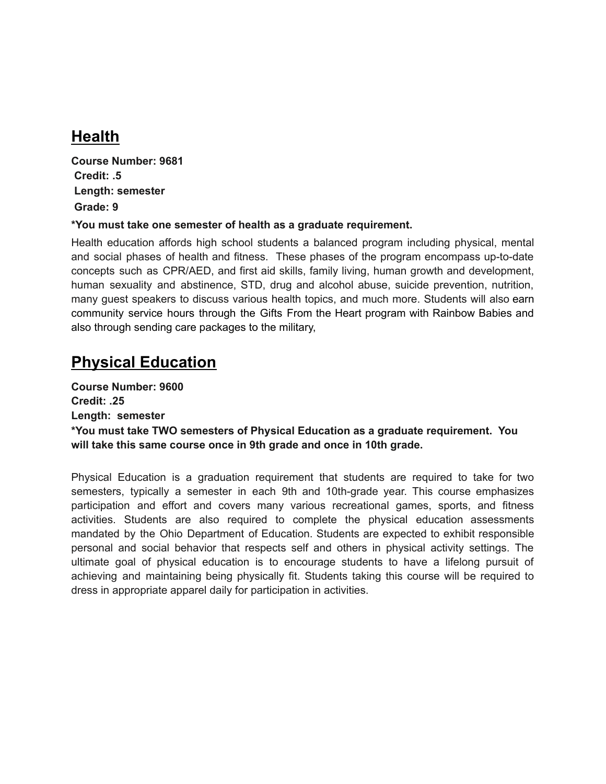## **Health**

**Course Number: 9681 Credit: .5 Length: semester Grade: 9**

#### **\*You must take one semester of health as a graduate requirement.**

Health education affords high school students a balanced program including physical, mental and social phases of health and fitness. These phases of the program encompass up-to-date concepts such as CPR/AED, and first aid skills, family living, human growth and development, human sexuality and abstinence, STD, drug and alcohol abuse, suicide prevention, nutrition, many guest speakers to discuss various health topics, and much more. Students will also earn community service hours through the Gifts From the Heart program with Rainbow Babies and also through sending care packages to the military,

### **Physical Education**

**Course Number: 9600 Credit: .25 Length: semester \*You must take TWO semesters of Physical Education as a graduate requirement. You will take this same course once in 9th grade and once in 10th grade.**

Physical Education is a graduation requirement that students are required to take for two semesters, typically a semester in each 9th and 10th-grade year. This course emphasizes participation and effort and covers many various recreational games, sports, and fitness activities. Students are also required to complete the physical education assessments mandated by the Ohio Department of Education. Students are expected to exhibit responsible personal and social behavior that respects self and others in physical activity settings. The ultimate goal of physical education is to encourage students to have a lifelong pursuit of achieving and maintaining being physically fit. Students taking this course will be required to dress in appropriate apparel daily for participation in activities.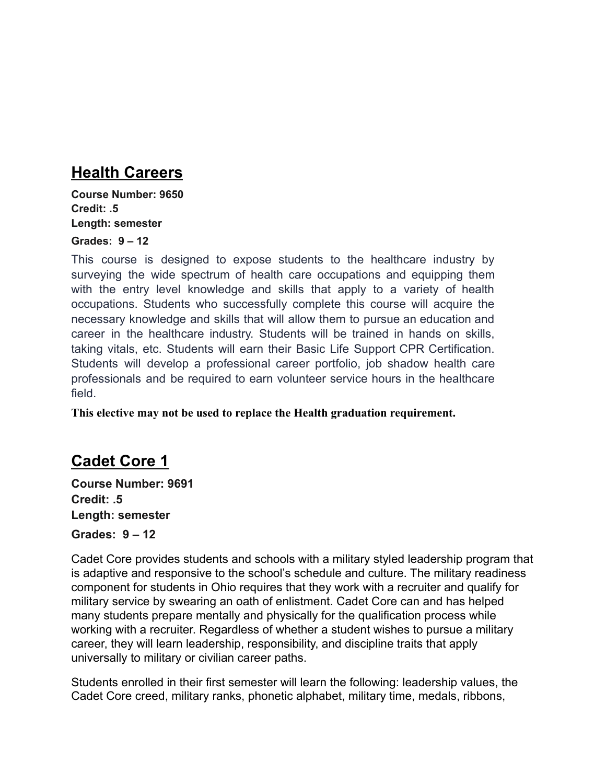### **Health Careers**

**Course Number: 9650 Credit: .5 Length: semester**

#### **Grades: 9 – 12**

This course is designed to expose students to the healthcare industry by surveying the wide spectrum of health care occupations and equipping them with the entry level knowledge and skills that apply to a variety of health occupations. Students who successfully complete this course will acquire the necessary knowledge and skills that will allow them to pursue an education and career in the healthcare industry. Students will be trained in hands on skills, taking vitals, etc. Students will earn their Basic Life Support CPR Certification. Students will develop a professional career portfolio, job shadow health care professionals and be required to earn volunteer service hours in the healthcare field.

**This elective may not be used to replace the Health graduation requirement.**

### **Cadet Core 1**

**Course Number: 9691 Credit: .5 Length: semester Grades: 9 – 12**

Cadet Core provides students and schools with a military styled leadership program that is adaptive and responsive to the school's schedule and culture. The military readiness component for students in Ohio requires that they work with a recruiter and qualify for military service by swearing an oath of enlistment. Cadet Core can and has helped many students prepare mentally and physically for the qualification process while working with a recruiter. Regardless of whether a student wishes to pursue a military career, they will learn leadership, responsibility, and discipline traits that apply universally to military or civilian career paths.

Students enrolled in their first semester will learn the following: leadership values, the Cadet Core creed, military ranks, phonetic alphabet, military time, medals, ribbons,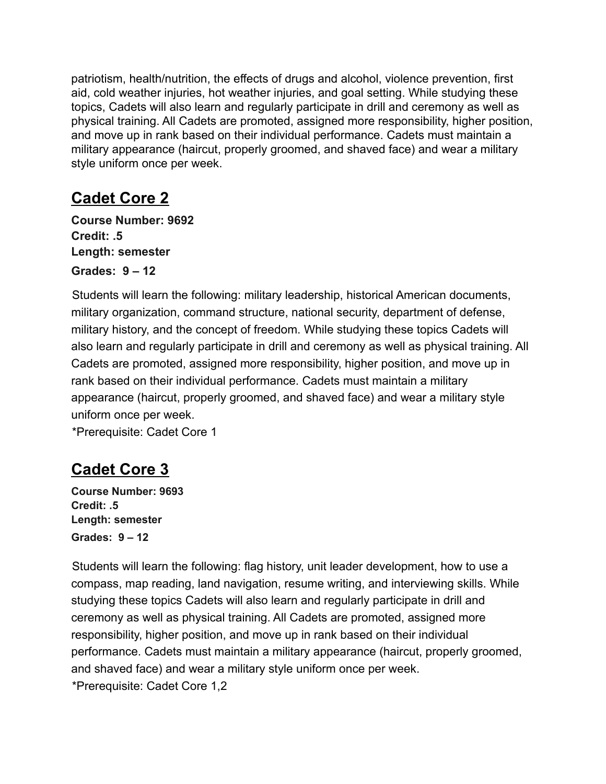patriotism, health/nutrition, the effects of drugs and alcohol, violence prevention, first aid, cold weather injuries, hot weather injuries, and goal setting. While studying these topics, Cadets will also learn and regularly participate in drill and ceremony as well as physical training. All Cadets are promoted, assigned more responsibility, higher position, and move up in rank based on their individual performance. Cadets must maintain a military appearance (haircut, properly groomed, and shaved face) and wear a military style uniform once per week.

## **Cadet Core 2**

**Course Number: 9692 Credit: .5 Length: semester Grades: 9 – 12**

Students will learn the following: military leadership, historical American documents, military organization, command structure, national security, department of defense, military history, and the concept of freedom. While studying these topics Cadets will also learn and regularly participate in drill and ceremony as well as physical training. All Cadets are promoted, assigned more responsibility, higher position, and move up in rank based on their individual performance. Cadets must maintain a military appearance (haircut, properly groomed, and shaved face) and wear a military style uniform once per week.

\*Prerequisite: Cadet Core 1

## **Cadet Core 3**

**Course Number: 9693 Credit: .5 Length: semester Grades: 9 – 12**

Students will learn the following: flag history, unit leader development, how to use a compass, map reading, land navigation, resume writing, and interviewing skills. While studying these topics Cadets will also learn and regularly participate in drill and ceremony as well as physical training. All Cadets are promoted, assigned more responsibility, higher position, and move up in rank based on their individual performance. Cadets must maintain a military appearance (haircut, properly groomed, and shaved face) and wear a military style uniform once per week. \*Prerequisite: Cadet Core 1,2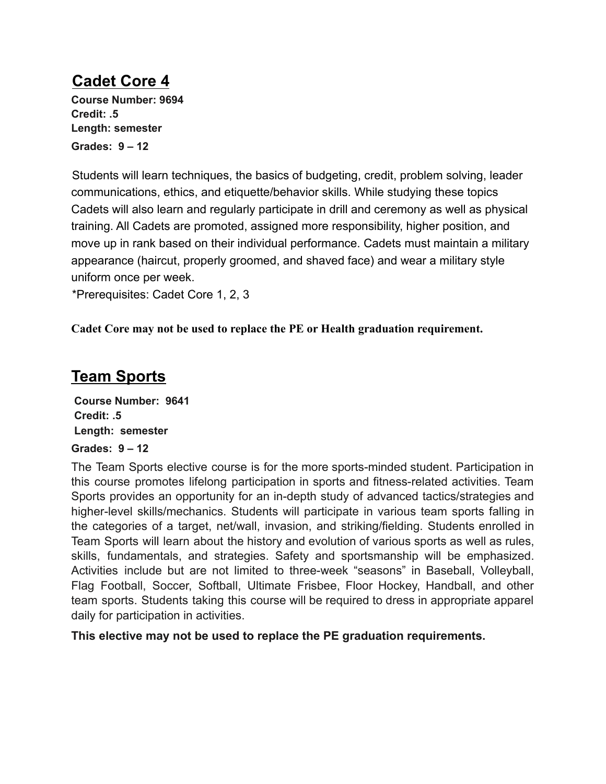## **Cadet Core 4**

**Course Number: 9694 Credit: .5 Length: semester Grades: 9 – 12**

Students will learn techniques, the basics of budgeting, credit, problem solving, leader communications, ethics, and etiquette/behavior skills. While studying these topics Cadets will also learn and regularly participate in drill and ceremony as well as physical training. All Cadets are promoted, assigned more responsibility, higher position, and move up in rank based on their individual performance. Cadets must maintain a military appearance (haircut, properly groomed, and shaved face) and wear a military style uniform once per week.

\*Prerequisites: Cadet Core 1, 2, 3

**Cadet Core may not be used to replace the PE or Health graduation requirement.**

### **Team Sports**

**Course Number: 9641 Credit: .5 Length: semester Grades: 9 – 12**

The Team Sports elective course is for the more sports-minded student. Participation in this course promotes lifelong participation in sports and fitness-related activities. Team Sports provides an opportunity for an in-depth study of advanced tactics/strategies and higher-level skills/mechanics. Students will participate in various team sports falling in the categories of a target, net/wall, invasion, and striking/fielding. Students enrolled in Team Sports will learn about the history and evolution of various sports as well as rules, skills, fundamentals, and strategies. Safety and sportsmanship will be emphasized. Activities include but are not limited to three-week "seasons" in Baseball, Volleyball, Flag Football, Soccer, Softball, Ultimate Frisbee, Floor Hockey, Handball, and other team sports. Students taking this course will be required to dress in appropriate apparel daily for participation in activities.

**This elective may not be used to replace the PE graduation requirements.**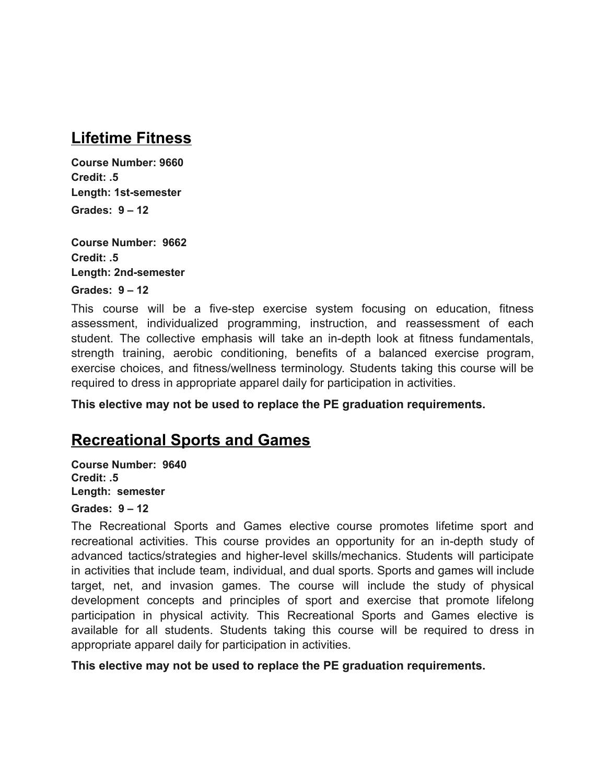### **Lifetime Fitness**

**Course Number: 9660 Credit: .5 Length: 1st-semester Grades: 9 – 12**

**Course Number: 9662 Credit: .5 Length: 2nd-semester**

**Grades: 9 – 12**

This course will be a five-step exercise system focusing on education, fitness assessment, individualized programming, instruction, and reassessment of each student. The collective emphasis will take an in-depth look at fitness fundamentals, strength training, aerobic conditioning, benefits of a balanced exercise program, exercise choices, and fitness/wellness terminology. Students taking this course will be required to dress in appropriate apparel daily for participation in activities.

**This elective may not be used to replace the PE graduation requirements.**

### **Recreational Sports and Games**

**Course Number: 9640 Credit: .5 Length: semester**

### **Grades: 9 – 12**

The Recreational Sports and Games elective course promotes lifetime sport and recreational activities. This course provides an opportunity for an in-depth study of advanced tactics/strategies and higher-level skills/mechanics. Students will participate in activities that include team, individual, and dual sports. Sports and games will include target, net, and invasion games. The course will include the study of physical development concepts and principles of sport and exercise that promote lifelong participation in physical activity. This Recreational Sports and Games elective is available for all students. Students taking this course will be required to dress in appropriate apparel daily for participation in activities.

**This elective may not be used to replace the PE graduation requirements.**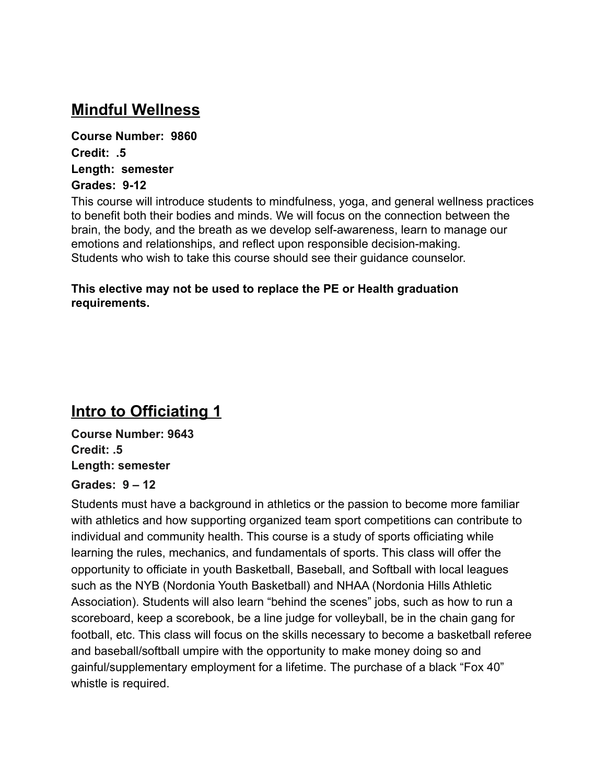### **Mindful Wellness**

**Course Number: 9860 Credit: .5 Length: semester Grades: 9-12**

This course will introduce students to mindfulness, yoga, and general wellness practices to benefit both their bodies and minds. We will focus on the connection between the brain, the body, and the breath as we develop self-awareness, learn to manage our emotions and relationships, and reflect upon responsible decision-making. Students who wish to take this course should see their guidance counselor.

#### **This elective may not be used to replace the PE or Health graduation requirements.**

### **Intro to Officiating 1**

**Course Number: 9643 Credit: .5 Length: semester**

#### **Grades: 9 – 12**

Students must have a background in athletics or the passion to become more familiar with athletics and how supporting organized team sport competitions can contribute to individual and community health. This course is a study of sports officiating while learning the rules, mechanics, and fundamentals of sports. This class will offer the opportunity to officiate in youth Basketball, Baseball, and Softball with local leagues such as the NYB (Nordonia Youth Basketball) and NHAA (Nordonia Hills Athletic Association). Students will also learn "behind the scenes" jobs, such as how to run a scoreboard, keep a scorebook, be a line judge for volleyball, be in the chain gang for football, etc. This class will focus on the skills necessary to become a basketball referee and baseball/softball umpire with the opportunity to make money doing so and gainful/supplementary employment for a lifetime. The purchase of a black "Fox 40" whistle is required.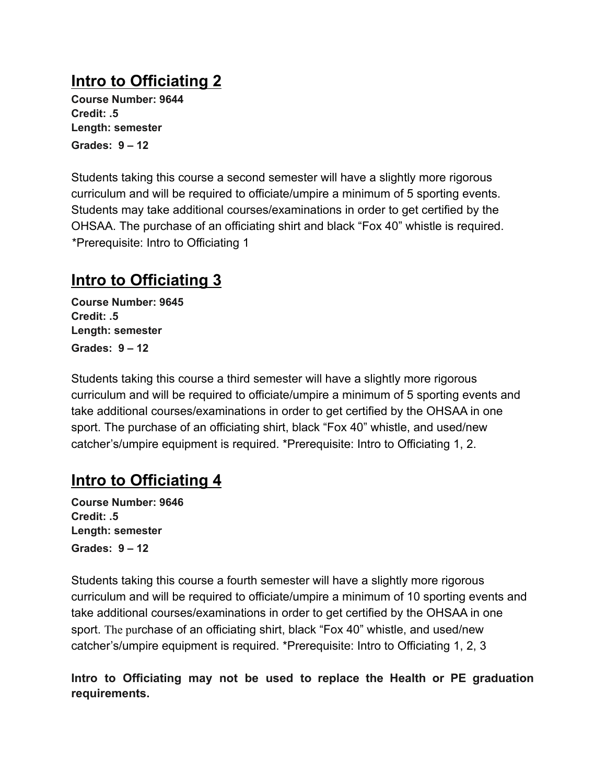## **Intro to Officiating 2**

**Course Number: 9644 Credit: .5 Length: semester Grades: 9 – 12**

Students taking this course a second semester will have a slightly more rigorous curriculum and will be required to officiate/umpire a minimum of 5 sporting events. Students may take additional courses/examinations in order to get certified by the OHSAA. The purchase of an officiating shirt and black "Fox 40" whistle is required. \*Prerequisite: Intro to Officiating 1

## **Intro to Officiating 3**

**Course Number: 9645 Credit: .5 Length: semester Grades: 9 – 12**

Students taking this course a third semester will have a slightly more rigorous curriculum and will be required to officiate/umpire a minimum of 5 sporting events and take additional courses/examinations in order to get certified by the OHSAA in one sport. The purchase of an officiating shirt, black "Fox 40" whistle, and used/new catcher's/umpire equipment is required. \*Prerequisite: Intro to Officiating 1, 2.

## **Intro to Officiating 4**

**Course Number: 9646 Credit: .5 Length: semester Grades: 9 – 12**

Students taking this course a fourth semester will have a slightly more rigorous curriculum and will be required to officiate/umpire a minimum of 10 sporting events and take additional courses/examinations in order to get certified by the OHSAA in one sport. The purchase of an officiating shirt, black "Fox 40" whistle, and used/new catcher's/umpire equipment is required. \*Prerequisite: Intro to Officiating 1, 2, 3

**Intro to Officiating may not be used to replace the Health or PE graduation requirements.**